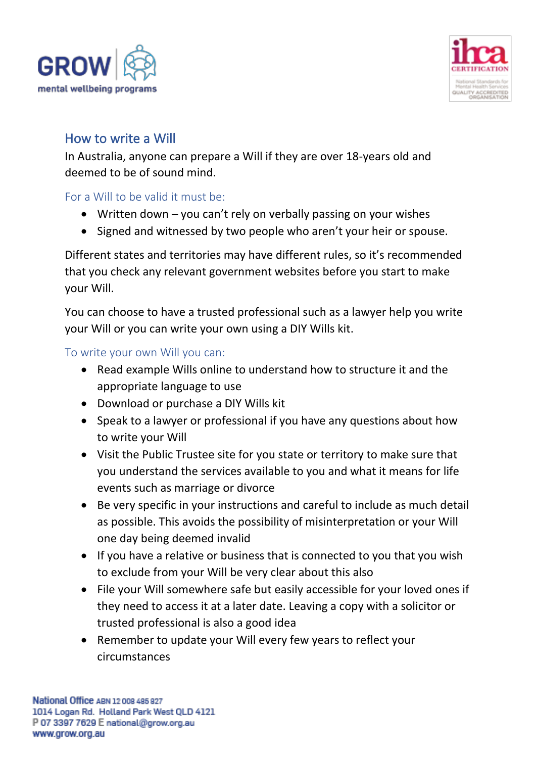



# How to write a Will

In Australia, anyone can prepare a Will if they are over 18-years old and deemed to be of sound mind.

### For a Will to be valid it must be:

- Written down you can't rely on verbally passing on your wishes
- Signed and witnessed by two people who aren't your heir or spouse.

Different states and territories may have different rules, so it's recommended that you check any relevant government websites before you start to make your Will.

You can choose to have a trusted professional such as a lawyer help you write your Will or you can write your own using a DIY Wills kit.

#### To write your own Will you can:

- Read example Wills online to understand how to structure it and the appropriate language to use
- Download or purchase a DIY Wills kit
- Speak to a lawyer or professional if you have any questions about how to write your Will
- Visit the Public Trustee site for you state or territory to make sure that you understand the services available to you and what it means for life events such as marriage or divorce
- Be very specific in your instructions and careful to include as much detail as possible. This avoids the possibility of misinterpretation or your Will one day being deemed invalid
- If you have a relative or business that is connected to you that you wish to exclude from your Will be very clear about this also
- File your Will somewhere safe but easily accessible for your loved ones if they need to access it at a later date. Leaving a copy with a solicitor or trusted professional is also a good idea
- Remember to update your Will every few years to reflect your circumstances